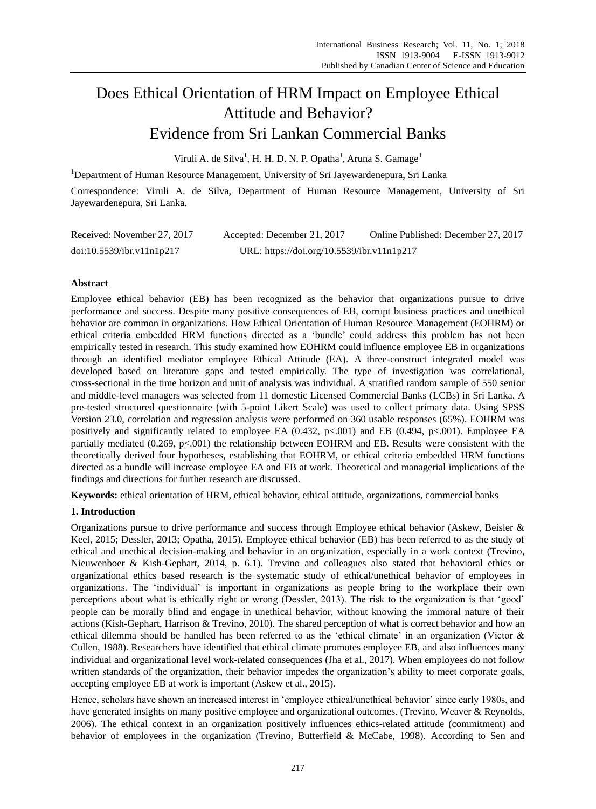# Does Ethical Orientation of HRM Impact on Employee Ethical Attitude and Behavior? Evidence from Sri Lankan Commercial Banks

Viruli A. de Silva<sup>1</sup>, H. H. D. N. P. Opatha<sup>1</sup>, Aruna S. Gamage<sup>1</sup>

<sup>1</sup>Department of Human Resource Management, University of Sri Jayewardenepura, Sri Lanka

Correspondence: Viruli A. de Silva, Department of Human Resource Management, University of Sri Jayewardenepura, Sri Lanka.

| Received: November 27, 2017 | Accepted: December 21, 2017                | Online Published: December 27, 2017 |
|-----------------------------|--------------------------------------------|-------------------------------------|
| doi:10.5539/ibr.v11nlp217   | URL: https://doi.org/10.5539/ibr.v11n1p217 |                                     |

# **Abstract**

Employee ethical behavior (EB) has been recognized as the behavior that organizations pursue to drive performance and success. Despite many positive consequences of EB, corrupt business practices and unethical behavior are common in organizations. How Ethical Orientation of Human Resource Management (EOHRM) or ethical criteria embedded HRM functions directed as a 'bundle' could address this problem has not been empirically tested in research. This study examined how EOHRM could influence employee EB in organizations through an identified mediator employee Ethical Attitude (EA). A three-construct integrated model was developed based on literature gaps and tested empirically. The type of investigation was correlational, cross-sectional in the time horizon and unit of analysis was individual. A stratified random sample of 550 senior and middle-level managers was selected from 11 domestic Licensed Commercial Banks (LCBs) in Sri Lanka. A pre-tested structured questionnaire (with 5-point Likert Scale) was used to collect primary data. Using SPSS Version 23.0, correlation and regression analysis were performed on 360 usable responses (65%). EOHRM was positively and significantly related to employee EA (0.432, p<.001) and EB (0.494, p<.001). Employee EA partially mediated (0.269, p<.001) the relationship between EOHRM and EB. Results were consistent with the theoretically derived four hypotheses, establishing that EOHRM, or ethical criteria embedded HRM functions directed as a bundle will increase employee EA and EB at work. Theoretical and managerial implications of the findings and directions for further research are discussed.

**Keywords:** ethical orientation of HRM, ethical behavior, ethical attitude, organizations, commercial banks

# **1. Introduction**

Organizations pursue to drive performance and success through Employee ethical behavior (Askew, Beisler & Keel, 2015; Dessler, 2013; Opatha, 2015). Employee ethical behavior (EB) has been referred to as the study of ethical and unethical decision-making and behavior in an organization, especially in a work context (Trevino, Nieuwenboer & Kish-Gephart, 2014, p. 6.1). Trevino and colleagues also stated that behavioral ethics or organizational ethics based research is the systematic study of ethical/unethical behavior of employees in organizations. The 'individual' is important in organizations as people bring to the workplace their own perceptions about what is ethically right or wrong (Dessler, 2013). The risk to the organization is that 'good' people can be morally blind and engage in unethical behavior, without knowing the immoral nature of their actions (Kish-Gephart, Harrison & Trevino, 2010). The shared perception of what is correct behavior and how an ethical dilemma should be handled has been referred to as the 'ethical climate' in an organization (Victor & Cullen, 1988). Researchers have identified that ethical climate promotes employee EB, and also influences many individual and organizational level work-related consequences (Jha et al., 2017). When employees do not follow written standards of the organization, their behavior impedes the organization's ability to meet corporate goals, accepting employee EB at work is important (Askew et al., 2015).

Hence, scholars have shown an increased interest in 'employee ethical/unethical behavior' since early 1980s, and have generated insights on many positive employee and organizational outcomes. (Trevino, Weaver & Reynolds, 2006). The ethical context in an organization positively influences ethics-related attitude (commitment) and behavior of employees in the organization (Trevino, Butterfield & McCabe, 1998). According to Sen and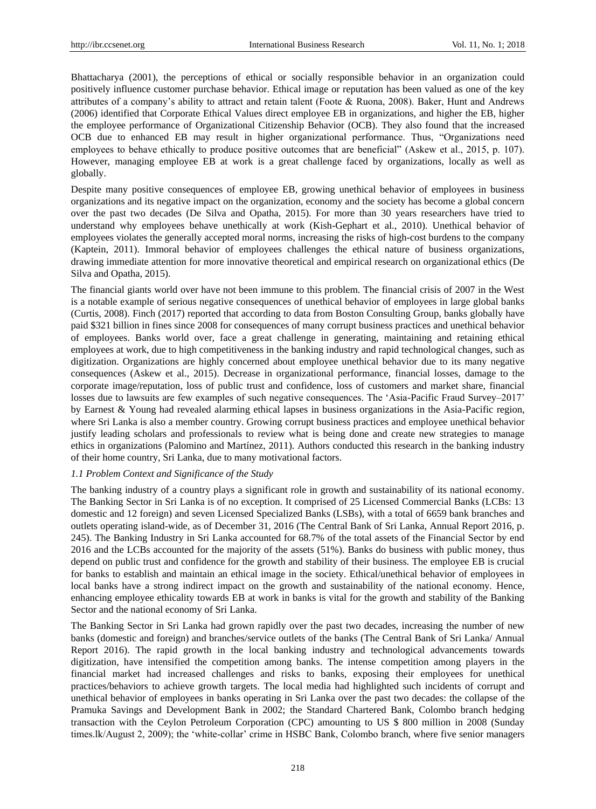Bhattacharya (2001), the perceptions of ethical or socially responsible behavior in an organization could positively influence customer purchase behavior. Ethical image or reputation has been valued as one of the key attributes of a company's ability to attract and retain talent (Foote & Ruona, 2008). Baker, Hunt and Andrews (2006) identified that Corporate Ethical Values direct employee EB in organizations, and higher the EB, higher the employee performance of Organizational Citizenship Behavior (OCB). They also found that the increased OCB due to enhanced EB may result in higher organizational performance. Thus, "Organizations need employees to behave ethically to produce positive outcomes that are beneficial" (Askew et al., 2015, p. 107). However, managing employee EB at work is a great challenge faced by organizations, locally as well as globally.

Despite many positive consequences of employee EB, growing unethical behavior of employees in business organizations and its negative impact on the organization, economy and the society has become a global concern over the past two decades (De Silva and Opatha, 2015). For more than 30 years researchers have tried to understand why employees behave unethically at work (Kish-Gephart et al., 2010). Unethical behavior of employees violates the generally accepted moral norms, increasing the risks of high-cost burdens to the company (Kaptein, 2011). Immoral behavior of employees challenges the ethical nature of business organizations, drawing immediate attention for more innovative theoretical and empirical research on organizational ethics (De Silva and Opatha, 2015).

The financial giants world over have not been immune to this problem. The financial crisis of 2007 in the West is a notable example of serious negative consequences of unethical behavior of employees in large global banks (Curtis, 2008). Finch (2017) reported that according to data from Boston Consulting Group, banks globally have paid \$321 billion in fines since 2008 for consequences of many corrupt business practices and unethical behavior of employees. Banks world over, face a great challenge in generating, maintaining and retaining ethical employees at work, due to high competitiveness in the banking industry and rapid technological changes, such as digitization. Organizations are highly concerned about employee unethical behavior due to its many negative consequences (Askew et al., 2015). Decrease in organizational performance, financial losses, damage to the corporate image/reputation, loss of public trust and confidence, loss of customers and market share, financial losses due to lawsuits are few examples of such negative consequences. The 'Asia-Pacific Fraud Survey–2017' by Earnest & Young had revealed alarming ethical lapses in business organizations in the Asia-Pacific region, where Sri Lanka is also a member country. Growing corrupt business practices and employee unethical behavior justify leading scholars and professionals to review what is being done and create new strategies to manage ethics in organizations (Palomino and Martínez, 2011). Authors conducted this research in the banking industry of their home country, Sri Lanka, due to many motivational factors.

## *1.1 Problem Context and Significance of the Study*

The banking industry of a country plays a significant role in growth and sustainability of its national economy. The Banking Sector in Sri Lanka is of no exception. It comprised of 25 Licensed Commercial Banks (LCBs: 13 domestic and 12 foreign) and seven Licensed Specialized Banks (LSBs), with a total of 6659 bank branches and outlets operating island-wide, as of December 31, 2016 (The Central Bank of Sri Lanka, Annual Report 2016, p. 245). The Banking Industry in Sri Lanka accounted for 68.7% of the total assets of the Financial Sector by end 2016 and the LCBs accounted for the majority of the assets (51%). Banks do business with public money, thus depend on public trust and confidence for the growth and stability of their business. The employee EB is crucial for banks to establish and maintain an ethical image in the society. Ethical/unethical behavior of employees in local banks have a strong indirect impact on the growth and sustainability of the national economy. Hence, enhancing employee ethicality towards EB at work in banks is vital for the growth and stability of the Banking Sector and the national economy of Sri Lanka.

The Banking Sector in Sri Lanka had grown rapidly over the past two decades, increasing the number of new banks (domestic and foreign) and branches/service outlets of the banks (The Central Bank of Sri Lanka/ Annual Report 2016). The rapid growth in the local banking industry and technological advancements towards digitization, have intensified the competition among banks. The intense competition among players in the financial market had increased challenges and risks to banks, exposing their employees for unethical practices/behaviors to achieve growth targets. The local media had highlighted such incidents of corrupt and unethical behavior of employees in banks operating in Sri Lanka over the past two decades: the collapse of the Pramuka Savings and Development Bank in 2002; the Standard Chartered Bank, Colombo branch hedging transaction with the Ceylon Petroleum Corporation (CPC) amounting to US \$ 800 million in 2008 (Sunday times.lk/August 2, 2009); the 'white-collar' crime in HSBC Bank, Colombo branch, where five senior managers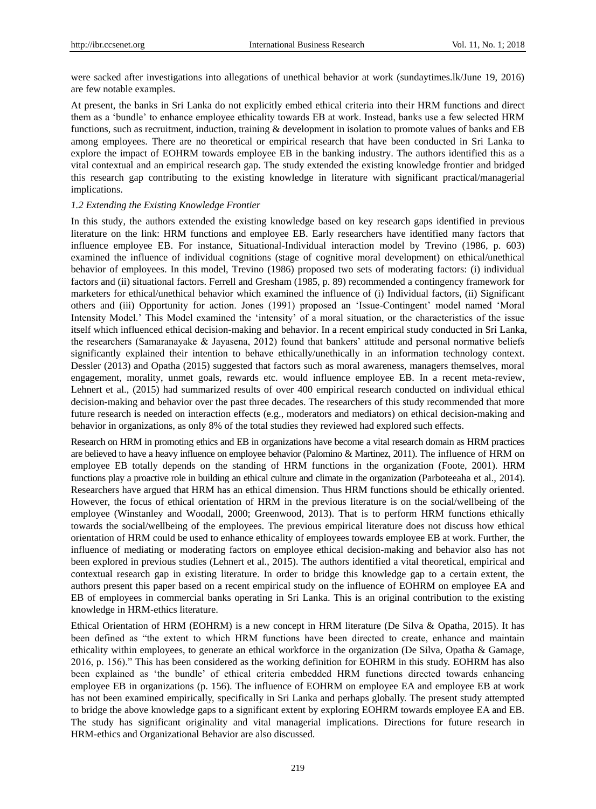were sacked after investigations into allegations of unethical behavior at work (sundaytimes.lk/June 19, 2016) are few notable examples.

At present, the banks in Sri Lanka do not explicitly embed ethical criteria into their HRM functions and direct them as a 'bundle' to enhance employee ethicality towards EB at work. Instead, banks use a few selected HRM functions, such as recruitment, induction, training & development in isolation to promote values of banks and EB among employees. There are no theoretical or empirical research that have been conducted in Sri Lanka to explore the impact of EOHRM towards employee EB in the banking industry. The authors identified this as a vital contextual and an empirical research gap. The study extended the existing knowledge frontier and bridged this research gap contributing to the existing knowledge in literature with significant practical/managerial implications.

# *1.2 Extending the Existing Knowledge Frontier*

In this study, the authors extended the existing knowledge based on key research gaps identified in previous literature on the link: HRM functions and employee EB. Early researchers have identified many factors that influence employee EB. For instance, Situational-Individual interaction model by Trevino (1986, p. 603) examined the influence of individual cognitions (stage of cognitive moral development) on ethical/unethical behavior of employees. In this model, Trevino (1986) proposed two sets of moderating factors: (i) individual factors and (ii) situational factors. Ferrell and Gresham (1985, p. 89) recommended a contingency framework for marketers for ethical/unethical behavior which examined the influence of (i) Individual factors, (ii) Significant others and (iii) Opportunity for action. Jones (1991) proposed an 'Issue-Contingent' model named 'Moral Intensity Model.' This Model examined the 'intensity' of a moral situation, or the characteristics of the issue itself which influenced ethical decision-making and behavior. In a recent empirical study conducted in Sri Lanka, the researchers (Samaranayake & Jayasena, 2012) found that bankers' attitude and personal normative beliefs significantly explained their intention to behave ethically/unethically in an information technology context. Dessler (2013) and Opatha (2015) suggested that factors such as moral awareness, managers themselves, moral engagement, morality, unmet goals, rewards etc. would influence employee EB. In a recent meta-review, Lehnert et al., (2015) had summarized results of over 400 empirical research conducted on individual ethical decision-making and behavior over the past three decades. The researchers of this study recommended that more future research is needed on interaction effects (e.g., moderators and mediators) on ethical decision-making and behavior in organizations, as only 8% of the total studies they reviewed had explored such effects.

Research on HRM in promoting ethics and EB in organizations have become a vital research domain as HRM practices are believed to have a heavy influence on employee behavior (Palomino & Martinez, 2011). The influence of HRM on employee EB totally depends on the standing of HRM functions in the organization (Foote, 2001). HRM functions play a proactive role in building an ethical culture and climate in the organization (Parboteeaha et al., 2014). Researchers have argued that HRM has an ethical dimension. Thus HRM functions should be ethically oriented. However, the focus of ethical orientation of HRM in the previous literature is on the social/wellbeing of the employee (Winstanley and Woodall, 2000; Greenwood, 2013). That is to perform HRM functions ethically towards the social/wellbeing of the employees. The previous empirical literature does not discuss how ethical orientation of HRM could be used to enhance ethicality of employees towards employee EB at work. Further, the influence of mediating or moderating factors on employee ethical decision-making and behavior also has not been explored in previous studies (Lehnert et al., 2015). The authors identified a vital theoretical, empirical and contextual research gap in existing literature. In order to bridge this knowledge gap to a certain extent, the authors present this paper based on a recent empirical study on the influence of EOHRM on employee EA and EB of employees in commercial banks operating in Sri Lanka. This is an original contribution to the existing knowledge in HRM-ethics literature.

Ethical Orientation of HRM (EOHRM) is a new concept in HRM literature (De Silva & Opatha, 2015). It has been defined as "the extent to which HRM functions have been directed to create, enhance and maintain ethicality within employees, to generate an ethical workforce in the organization (De Silva, Opatha & Gamage, 2016, p. 156)." This has been considered as the working definition for EOHRM in this study. EOHRM has also been explained as 'the bundle' of ethical criteria embedded HRM functions directed towards enhancing employee EB in organizations (p. 156). The influence of EOHRM on employee EA and employee EB at work has not been examined empirically, specifically in Sri Lanka and perhaps globally. The present study attempted to bridge the above knowledge gaps to a significant extent by exploring EOHRM towards employee EA and EB. The study has significant originality and vital managerial implications. Directions for future research in HRM-ethics and Organizational Behavior are also discussed.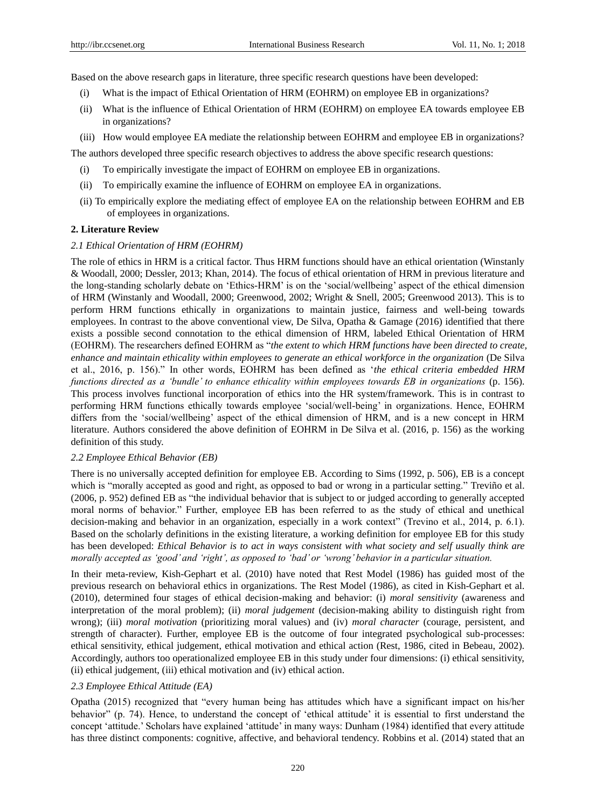Based on the above research gaps in literature, three specific research questions have been developed:

- (i) What is the impact of Ethical Orientation of HRM (EOHRM) on employee EB in organizations?
- (ii) What is the influence of Ethical Orientation of HRM (EOHRM) on employee EA towards employee EB in organizations?
- (iii) How would employee EA mediate the relationship between EOHRM and employee EB in organizations?

The authors developed three specific research objectives to address the above specific research questions:

- (i) To empirically investigate the impact of EOHRM on employee EB in organizations.
- (ii) To empirically examine the influence of EOHRM on employee EA in organizations.
- (ii) To empirically explore the mediating effect of employee EA on the relationship between EOHRM and EB of employees in organizations.

# **2. Literature Review**

# *2.1 Ethical Orientation of HRM (EOHRM)*

The role of ethics in HRM is a critical factor. Thus HRM functions should have an ethical orientation (Winstanly & Woodall, 2000; Dessler, 2013; Khan, 2014). The focus of ethical orientation of HRM in previous literature and the long-standing scholarly debate on 'Ethics-HRM' is on the 'social/wellbeing' aspect of the ethical dimension of HRM (Winstanly and Woodall, 2000; Greenwood, 2002; Wright & Snell, 2005; Greenwood 2013). This is to perform HRM functions ethically in organizations to maintain justice, fairness and well-being towards employees. In contrast to the above conventional view, De Silva, Opatha & Gamage (2016) identified that there exists a possible second connotation to the ethical dimension of HRM, labeled Ethical Orientation of HRM (EOHRM). The researchers defined EOHRM as "*the extent to which HRM functions have been directed to create, enhance and maintain ethicality within employees to generate an ethical workforce in the organization* (De Silva et al., 2016, p. 156)." In other words, EOHRM has been defined as '*the ethical criteria embedded HRM functions directed as a 'bundle' to enhance ethicality within employees towards EB in organizations* (p. 156). This process involves functional incorporation of ethics into the HR system/framework. This is in contrast to performing HRM functions ethically towards employee 'social/well-being' in organizations. Hence, EOHRM differs from the 'social/wellbeing' aspect of the ethical dimension of HRM, and is a new concept in HRM literature. Authors considered the above definition of EOHRM in De Silva et al. (2016, p. 156) as the working definition of this study.

#### *2.2 Employee Ethical Behavior (EB)*

There is no universally accepted definition for employee EB. According to Sims (1992, p. 506), EB is a concept which is "morally accepted as good and right, as opposed to bad or wrong in a particular setting." Treviño et al. (2006, p. 952) defined EB as "the individual behavior that is subject to or judged according to generally accepted moral norms of behavior." Further, employee EB has been referred to as the study of ethical and unethical decision-making and behavior in an organization, especially in a work context" (Trevino et al., 2014, p. 6.1). Based on the scholarly definitions in the existing literature, a working definition for employee EB for this study has been developed: *Ethical Behavior is to act in ways consistent with what society and self usually think are morally accepted as 'good' and 'right', as opposed to 'bad' or 'wrong' behavior in a particular situation.*

In their meta-review, Kish-Gephart et al. (2010) have noted that Rest Model (1986) has guided most of the previous research on behavioral ethics in organizations. The Rest Model (1986), as cited in Kish-Gephart et al. (2010), determined four stages of ethical decision-making and behavior: (i) *moral sensitivity* (awareness and interpretation of the moral problem); (ii) *moral judgement* (decision-making ability to distinguish right from wrong); (iii) *moral motivation* (prioritizing moral values) and (iv) *moral character* (courage, persistent, and strength of character). Further, employee EB is the outcome of four integrated psychological sub-processes: ethical sensitivity, ethical judgement, ethical motivation and ethical action (Rest, 1986, cited in Bebeau, 2002). Accordingly, authors too operationalized employee EB in this study under four dimensions: (i) ethical sensitivity, (ii) ethical judgement, (iii) ethical motivation and (iv) ethical action.

## *2.3 Employee Ethical Attitude (EA)*

Opatha (2015) recognized that "every human being has attitudes which have a significant impact on his/her behavior" (p. 74). Hence, to understand the concept of 'ethical attitude' it is essential to first understand the concept 'attitude.' Scholars have explained 'attitude' in many ways: Dunham (1984) identified that every attitude has three distinct components: cognitive, affective, and behavioral tendency. Robbins et al. (2014) stated that an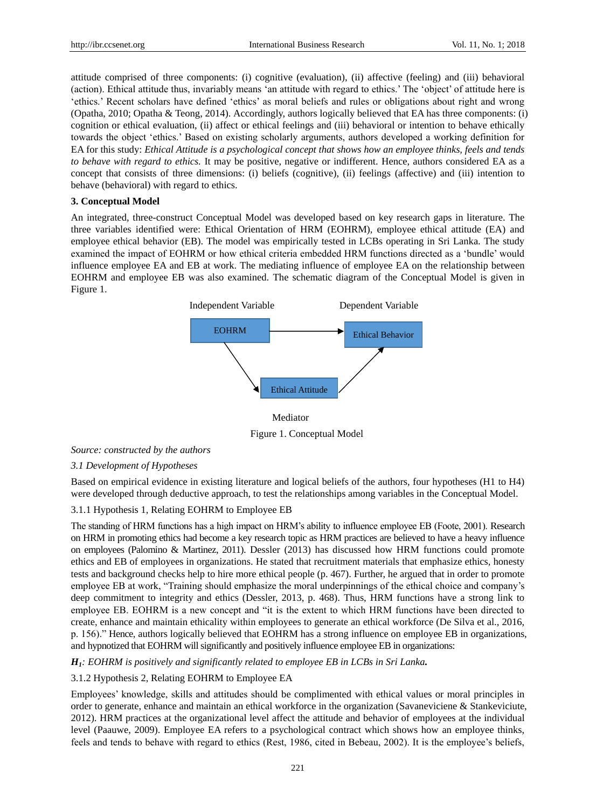attitude comprised of three components: (i) cognitive (evaluation), (ii) affective (feeling) and (iii) behavioral (action). Ethical attitude thus, invariably means 'an attitude with regard to ethics.' The 'object' of attitude here is 'ethics.' Recent scholars have defined 'ethics' as moral beliefs and rules or obligations about right and wrong (Opatha, 2010; Opatha & Teong, 2014). Accordingly, authors logically believed that EA has three components: (i) cognition or ethical evaluation, (ii) affect or ethical feelings and (iii) behavioral or intention to behave ethically towards the object 'ethics.' Based on existing scholarly arguments, authors developed a working definition for EA for this study: *Ethical Attitude is a psychological concept that shows how an employee thinks, feels and tends to behave with regard to ethics.* It may be positive, negative or indifferent. Hence, authors considered EA as a concept that consists of three dimensions: (i) beliefs (cognitive), (ii) feelings (affective) and (iii) intention to behave (behavioral) with regard to ethics.

# **3. Conceptual Model**

An integrated, three-construct Conceptual Model was developed based on key research gaps in literature. The three variables identified were: Ethical Orientation of HRM (EOHRM), employee ethical attitude (EA) and employee ethical behavior (EB). The model was empirically tested in LCBs operating in Sri Lanka. The study examined the impact of EOHRM or how ethical criteria embedded HRM functions directed as a 'bundle' would influence employee EA and EB at work. The mediating influence of employee EA on the relationship between EOHRM and employee EB was also examined. The schematic diagram of the Conceptual Model is given in Figure 1.



Mediator Figure 1. Conceptual Model

# *Source: constructed by the authors*

## *3.1 Development of Hypotheses*

Based on empirical evidence in existing literature and logical beliefs of the authors, four hypotheses (H1 to H4) were developed through deductive approach, to test the relationships among variables in the Conceptual Model.

# 3.1.1 Hypothesis 1, Relating EOHRM to Employee EB

The standing of HRM functions has a high impact on HRM's ability to influence employee EB (Foote, 2001). Research on HRM in promoting ethics had become a key research topic as HRM practices are believed to have a heavy influence on employees (Palomino & Martinez, 2011). Dessler (2013) has discussed how HRM functions could promote ethics and EB of employees in organizations. He stated that recruitment materials that emphasize ethics, honesty tests and background checks help to hire more ethical people (p. 467). Further, he argued that in order to promote employee EB at work, "Training should emphasize the moral underpinnings of the ethical choice and company's deep commitment to integrity and ethics (Dessler, 2013, p. 468). Thus, HRM functions have a strong link to employee EB. EOHRM is a new concept and "it is the extent to which HRM functions have been directed to create, enhance and maintain ethicality within employees to generate an ethical workforce (De Silva et al., 2016, p. 156)." Hence, authors logically believed that EOHRM has a strong influence on employee EB in organizations, and hypnotized that EOHRM will significantly and positively influence employee EB in organizations:

# *H1: EOHRM is positively and significantly related to employee EB in LCBs in Sri Lanka.*

# 3.1.2 Hypothesis 2, Relating EOHRM to Employee EA

Employees' knowledge, skills and attitudes should be complimented with ethical values or moral principles in order to generate, enhance and maintain an ethical workforce in the organization (Savaneviciene & Stankeviciute, 2012). HRM practices at the organizational level affect the attitude and behavior of employees at the individual level (Paauwe, 2009). Employee EA refers to a psychological contract which shows how an employee thinks, feels and tends to behave with regard to ethics (Rest, 1986, cited in Bebeau, 2002). It is the employee's beliefs,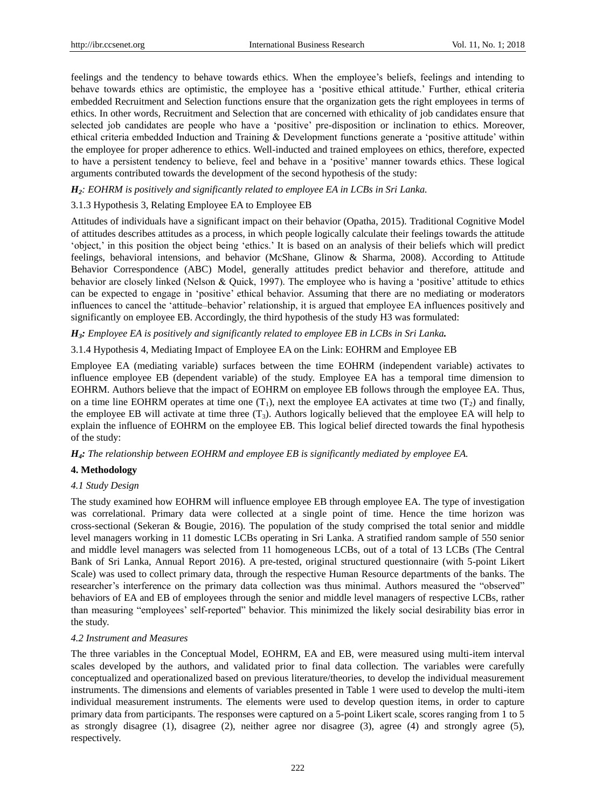feelings and the tendency to behave towards ethics. When the employee's beliefs, feelings and intending to behave towards ethics are optimistic, the employee has a 'positive ethical attitude.' Further, ethical criteria embedded Recruitment and Selection functions ensure that the organization gets the right employees in terms of ethics. In other words, Recruitment and Selection that are concerned with ethicality of job candidates ensure that selected job candidates are people who have a 'positive' pre-disposition or inclination to ethics. Moreover, ethical criteria embedded Induction and Training & Development functions generate a 'positive attitude' within the employee for proper adherence to ethics. Well-inducted and trained employees on ethics, therefore, expected to have a persistent tendency to believe, feel and behave in a 'positive' manner towards ethics. These logical arguments contributed towards the development of the second hypothesis of the study:

# *H2: EOHRM is positively and significantly related to employee EA in LCBs in Sri Lanka.*

# 3.1.3 Hypothesis 3, Relating Employee EA to Employee EB

Attitudes of individuals have a significant impact on their behavior (Opatha, 2015). Traditional Cognitive Model of attitudes describes attitudes as a process, in which people logically calculate their feelings towards the attitude 'object,' in this position the object being 'ethics.' It is based on an analysis of their beliefs which will predict feelings, behavioral intensions, and behavior (McShane, Glinow & Sharma, 2008). According to Attitude Behavior Correspondence (ABC) Model, generally attitudes predict behavior and therefore, attitude and behavior are closely linked (Nelson & Quick, 1997). The employee who is having a 'positive' attitude to ethics can be expected to engage in 'positive' ethical behavior. Assuming that there are no mediating or moderators influences to cancel the 'attitude–behavior' relationship, it is argued that employee EA influences positively and significantly on employee EB. Accordingly, the third hypothesis of the study H3 was formulated:

*H3: Employee EA is positively and significantly related to employee EB in LCBs in Sri Lanka.* 

## 3.1.4 Hypothesis 4, Mediating Impact of Employee EA on the Link: EOHRM and Employee EB

Employee EA (mediating variable) surfaces between the time EOHRM (independent variable) activates to influence employee EB (dependent variable) of the study. Employee EA has a temporal time dimension to EOHRM. Authors believe that the impact of EOHRM on employee EB follows through the employee EA. Thus, on a time line EOHRM operates at time one  $(T_1)$ , next the employee EA activates at time two  $(T_2)$  and finally, the employee EB will activate at time three  $(T_3)$ . Authors logically believed that the employee EA will help to explain the influence of EOHRM on the employee EB. This logical belief directed towards the final hypothesis of the study:

# *H4: The relationship between EOHRM and employee EB is significantly mediated by employee EA.*

## **4. Methodology**

## *4.1 Study Design*

The study examined how EOHRM will influence employee EB through employee EA. The type of investigation was correlational. Primary data were collected at a single point of time. Hence the time horizon was cross-sectional (Sekeran & Bougie, 2016). The population of the study comprised the total senior and middle level managers working in 11 domestic LCBs operating in Sri Lanka. A stratified random sample of 550 senior and middle level managers was selected from 11 homogeneous LCBs, out of a total of 13 LCBs (The Central Bank of Sri Lanka, Annual Report 2016). A pre-tested, original structured questionnaire (with 5-point Likert Scale) was used to collect primary data, through the respective Human Resource departments of the banks. The researcher's interference on the primary data collection was thus minimal. Authors measured the "observed" behaviors of EA and EB of employees through the senior and middle level managers of respective LCBs, rather than measuring "employees' self-reported" behavior. This minimized the likely social desirability bias error in the study.

## *4.2 Instrument and Measures*

The three variables in the Conceptual Model, EOHRM, EA and EB, were measured using multi-item interval scales developed by the authors, and validated prior to final data collection. The variables were carefully conceptualized and operationalized based on previous literature/theories, to develop the individual measurement instruments. The dimensions and elements of variables presented in Table 1 were used to develop the multi-item individual measurement instruments. The elements were used to develop question items, in order to capture primary data from participants. The responses were captured on a 5-point Likert scale, scores ranging from 1 to 5 as strongly disagree (1), disagree (2), neither agree nor disagree (3), agree (4) and strongly agree (5), respectively.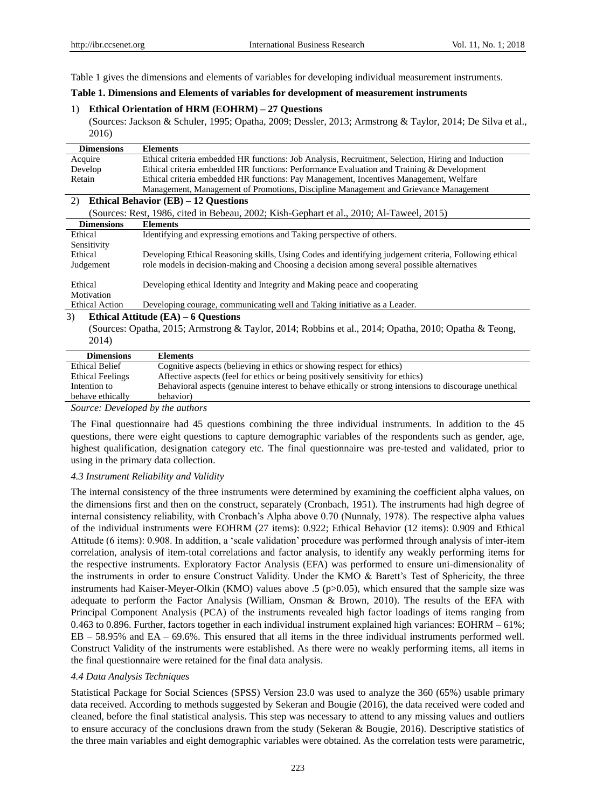Table 1 gives the dimensions and elements of variables for developing individual measurement instruments.

#### **Table 1. Dimensions and Elements of variables for development of measurement instruments**

#### 1) **Ethical Orientation of HRM (EOHRM) – 27 Questions**

(Sources: Jackson & Schuler, 1995; Opatha, 2009; Dessler, 2013; Armstrong & Taylor, 2014; De Silva et al., 2016)

| <b>Dimensions</b>     | <b>Elements</b>                                                                                        |
|-----------------------|--------------------------------------------------------------------------------------------------------|
| Acquire               | Ethical criteria embedded HR functions: Job Analysis, Recruitment, Selection, Hiring and Induction     |
| Develop               | Ethical criteria embedded HR functions: Performance Evaluation and Training & Development              |
| Retain                | Ethical criteria embedded HR functions: Pay Management, Incentives Management, Welfare                 |
|                       | Management, Management of Promotions, Discipline Management and Grievance Management                   |
| 2)                    | Ethical Behavior $(EB) - 12$ Questions                                                                 |
|                       | (Sources: Rest, 1986, cited in Bebeau, 2002; Kish-Gephart et al., 2010; Al-Taweel, 2015)               |
| <b>Dimensions</b>     | <b>Elements</b>                                                                                        |
| Ethical               | Identifying and expressing emotions and Taking perspective of others.                                  |
| Sensitivity           |                                                                                                        |
| Ethical               | Developing Ethical Reasoning skills, Using Codes and identifying judgement criteria, Following ethical |
| Judgement             | role models in decision-making and Choosing a decision among several possible alternatives             |
| Ethical               | Developing ethical Identity and Integrity and Making peace and cooperating                             |
| Motivation            |                                                                                                        |
| <b>Ethical Action</b> | Developing courage, communicating well and Taking initiative as a Leader.                              |
| 3)                    | Ethical Attitude $(EA) - 6$ Questions                                                                  |
|                       | (Sources: Opatha, 2015; Armstrong & Taylor, 2014; Robbins et al., 2014; Opatha, 2010; Opatha & Teong,  |

| 2014) |  |
|-------|--|

| ---                                                                                                                                 |                                                                                                       |
|-------------------------------------------------------------------------------------------------------------------------------------|-------------------------------------------------------------------------------------------------------|
| <b>Dimensions</b>                                                                                                                   | <b>Elements</b>                                                                                       |
| <b>Ethical Belief</b>                                                                                                               | Cognitive aspects (believing in ethics or showing respect for ethics)                                 |
| <b>Ethical Feelings</b>                                                                                                             | Affective aspects (feel for ethics or being positively sensitivity for ethics)                        |
| Intention to                                                                                                                        | Behavioral aspects (genuine interest to behave ethically or strong intensions to discourage unethical |
| behave ethically                                                                                                                    | behavior)                                                                                             |
| $\mathbf{C}$ and $\mathbf{D}$ and $\mathbf{D}$ and $\mathbf{D}$ and $\mathbf{D}$ and $\mathbf{D}$ and $\mathbf{D}$ and $\mathbf{D}$ |                                                                                                       |

*Source: Developed by the authors*

The Final questionnaire had 45 questions combining the three individual instruments. In addition to the 45 questions, there were eight questions to capture demographic variables of the respondents such as gender, age, highest qualification, designation category etc. The final questionnaire was pre-tested and validated, prior to using in the primary data collection.

## *4.3 Instrument Reliability and Validity*

The internal consistency of the three instruments were determined by examining the coefficient alpha values, on the dimensions first and then on the construct, separately (Cronbach, 1951). The instruments had high degree of internal consistency reliability, with Cronbach's Alpha above 0.70 (Nunnaly, 1978). The respective alpha values of the individual instruments were EOHRM (27 items): 0.922; Ethical Behavior (12 items): 0.909 and Ethical Attitude (6 items): 0.908. In addition, a 'scale validation' procedure was performed through analysis of inter-item correlation, analysis of item-total correlations and factor analysis, to identify any weakly performing items for the respective instruments. Exploratory Factor Analysis (EFA) was performed to ensure uni-dimensionality of the instruments in order to ensure Construct Validity. Under the KMO & Barett's Test of Sphericity, the three instruments had Kaiser-Meyer-Olkin (KMO) values above .5 (p>0.05), which ensured that the sample size was adequate to perform the Factor Analysis (William, Onsman & Brown, 2010). The results of the EFA with Principal Component Analysis (PCA) of the instruments revealed high factor loadings of items ranging from 0.463 to 0.896. Further, factors together in each individual instrument explained high variances: EOHRM – 61%; EB – 58.95% and EA – 69.6%. This ensured that all items in the three individual instruments performed well. Construct Validity of the instruments were established. As there were no weakly performing items, all items in the final questionnaire were retained for the final data analysis.

## *4.4 Data Analysis Techniques*

Statistical Package for Social Sciences (SPSS) Version 23.0 was used to analyze the 360 (65%) usable primary data received. According to methods suggested by Sekeran and Bougie (2016), the data received were coded and cleaned, before the final statistical analysis. This step was necessary to attend to any missing values and outliers to ensure accuracy of the conclusions drawn from the study (Sekeran & Bougie, 2016). Descriptive statistics of the three main variables and eight demographic variables were obtained. As the correlation tests were parametric,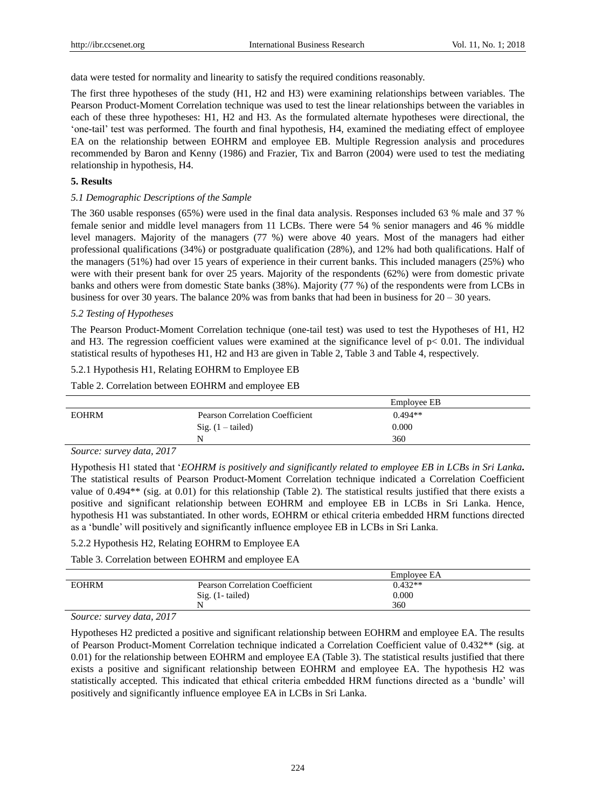data were tested for normality and linearity to satisfy the required conditions reasonably.

The first three hypotheses of the study (H1, H2 and H3) were examining relationships between variables. The Pearson Product-Moment Correlation technique was used to test the linear relationships between the variables in each of these three hypotheses: H1, H2 and H3. As the formulated alternate hypotheses were directional, the 'one-tail' test was performed. The fourth and final hypothesis, H4, examined the mediating effect of employee EA on the relationship between EOHRM and employee EB. Multiple Regression analysis and procedures recommended by Baron and Kenny (1986) and Frazier, Tix and Barron (2004) were used to test the mediating relationship in hypothesis, H4.

# **5. Results**

# *5.1 Demographic Descriptions of the Sample*

The 360 usable responses (65%) were used in the final data analysis. Responses included 63 % male and 37 % female senior and middle level managers from 11 LCBs. There were 54 % senior managers and 46 % middle level managers. Majority of the managers (77 %) were above 40 years. Most of the managers had either professional qualifications (34%) or postgraduate qualification (28%), and 12% had both qualifications. Half of the managers (51%) had over 15 years of experience in their current banks. This included managers (25%) who were with their present bank for over 25 years. Majority of the respondents (62%) were from domestic private banks and others were from domestic State banks (38%). Majority (77 %) of the respondents were from LCBs in business for over 30 years. The balance 20% was from banks that had been in business for 20 – 30 years.

# *5.2 Testing of Hypotheses*

The Pearson Product-Moment Correlation technique (one-tail test) was used to test the Hypotheses of H1, H2 and H3. The regression coefficient values were examined at the significance level of  $p < 0.01$ . The individual statistical results of hypotheses H1, H2 and H3 are given in Table 2, Table 3 and Table 4, respectively.

# 5.2.1 Hypothesis H1, Relating EOHRM to Employee EB

Table 2. Correlation between EOHRM and employee EB

|              |                                        | Employee EB |  |
|--------------|----------------------------------------|-------------|--|
| <b>EOHRM</b> | <b>Pearson Correlation Coefficient</b> | $0.494**$   |  |
|              | Sig. $(1 - \text{tailed})$             | 0.000       |  |
|              | N                                      | 360         |  |
|              | - - - -                                |             |  |

## *Source: survey data, 2017*

Hypothesis H1 stated that '*EOHRM is positively and significantly related to employee EB in LCBs in Sri Lanka.*  The statistical results of Pearson Product-Moment Correlation technique indicated a Correlation Coefficient value of 0.494\*\* (sig. at 0.01) for this relationship (Table 2). The statistical results justified that there exists a positive and significant relationship between EOHRM and employee EB in LCBs in Sri Lanka. Hence, hypothesis H1 was substantiated. In other words, EOHRM or ethical criteria embedded HRM functions directed as a 'bundle' will positively and significantly influence employee EB in LCBs in Sri Lanka.

# 5.2.2 Hypothesis H2, Relating EOHRM to Employee EA

Table 3. Correlation between EOHRM and employee EA

|       |                                        | Employee EA |  |
|-------|----------------------------------------|-------------|--|
| EOHRM | <b>Pearson Correlation Coefficient</b> | $0.432**$   |  |
|       | $Sig. (1-tailed)$                      | 0.000       |  |
|       |                                        | 360         |  |
|       | - - - -                                |             |  |

*Source: survey data, 2017*

Hypotheses H2 predicted a positive and significant relationship between EOHRM and employee EA. The results of Pearson Product-Moment Correlation technique indicated a Correlation Coefficient value of 0.432\*\* (sig. at 0.01) for the relationship between EOHRM and employee EA (Table 3). The statistical results justified that there exists a positive and significant relationship between EOHRM and employee EA. The hypothesis H2 was statistically accepted. This indicated that ethical criteria embedded HRM functions directed as a 'bundle' will positively and significantly influence employee EA in LCBs in Sri Lanka.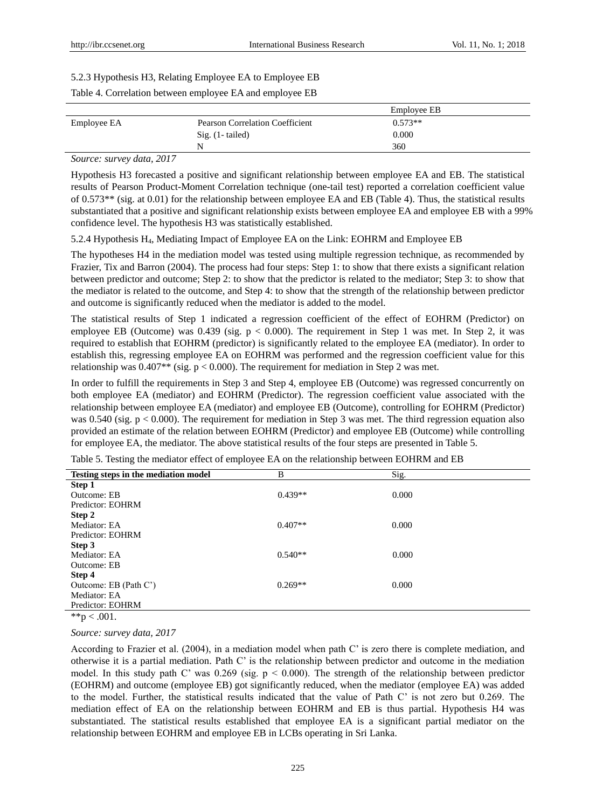# 5.2.3 Hypothesis H3, Relating Employee EA to Employee EB

# Table 4. Correlation between employee EA and employee EB

|             |                                        | Employee EB |  |
|-------------|----------------------------------------|-------------|--|
| Employee EA | <b>Pearson Correlation Coefficient</b> | $0.573**$   |  |
|             | Sig. $(1 - \text{tailed})$             | 0.000       |  |
|             |                                        | 360         |  |

# *Source: survey data, 2017*

Hypothesis H3 forecasted a positive and significant relationship between employee EA and EB. The statistical results of Pearson Product-Moment Correlation technique (one-tail test) reported a correlation coefficient value of 0.573\*\* (sig. at 0.01) for the relationship between employee EA and EB (Table 4). Thus, the statistical results substantiated that a positive and significant relationship exists between employee EA and employee EB with a 99% confidence level. The hypothesis H3 was statistically established.

5.2.4 Hypothesis H4, Mediating Impact of Employee EA on the Link: EOHRM and Employee EB

The hypotheses H4 in the mediation model was tested using multiple regression technique, as recommended by Frazier, Tix and Barron (2004). The process had four steps: Step 1: to show that there exists a significant relation between predictor and outcome; Step 2: to show that the predictor is related to the mediator; Step 3: to show that the mediator is related to the outcome, and Step 4: to show that the strength of the relationship between predictor and outcome is significantly reduced when the mediator is added to the model.

The statistical results of Step 1 indicated a regression coefficient of the effect of EOHRM (Predictor) on employee EB (Outcome) was  $0.439$  (sig.  $p < 0.000$ ). The requirement in Step 1 was met. In Step 2, it was required to establish that EOHRM (predictor) is significantly related to the employee EA (mediator). In order to establish this, regressing employee EA on EOHRM was performed and the regression coefficient value for this relationship was  $0.407**$  (sig. p < 0.000). The requirement for mediation in Step 2 was met.

In order to fulfill the requirements in Step 3 and Step 4, employee EB (Outcome) was regressed concurrently on both employee EA (mediator) and EOHRM (Predictor). The regression coefficient value associated with the relationship between employee EA (mediator) and employee EB (Outcome), controlling for EOHRM (Predictor) was 0.540 (sig. p < 0.000). The requirement for mediation in Step 3 was met. The third regression equation also provided an estimate of the relation between EOHRM (Predictor) and employee EB (Outcome) while controlling for employee EA, the mediator. The above statistical results of the four steps are presented in Table 5.

| Testing steps in the mediation model | B         | Sig.  |
|--------------------------------------|-----------|-------|
| Step 1                               |           |       |
| Outcome: EB                          | $0.439**$ | 0.000 |
| Predictor: EOHRM                     |           |       |
| Step 2                               |           |       |
| Mediator: EA                         | $0.407**$ | 0.000 |
| Predictor: EOHRM                     |           |       |
| Step 3                               |           |       |
| Mediator: EA                         | $0.540**$ | 0.000 |
| Outcome: EB                          |           |       |
| Step 4                               |           |       |
| Outcome: EB (Path C')                | $0.269**$ | 0.000 |
| Mediator: EA                         |           |       |
| Predictor: EOHRM                     |           |       |
| $*** - 0.01$                         |           |       |

Table 5. Testing the mediator effect of employee EA on the relationship between EOHRM and EB

\*\*p  $< .001$ .

*Source: survey data, 2017*

According to Frazier et al. (2004), in a mediation model when path C' is zero there is complete mediation, and otherwise it is a partial mediation. Path C' is the relationship between predictor and outcome in the mediation model. In this study path C' was 0.269 (sig.  $p < 0.000$ ). The strength of the relationship between predictor (EOHRM) and outcome (employee EB) got significantly reduced, when the mediator (employee EA) was added to the model. Further, the statistical results indicated that the value of Path C' is not zero but 0.269. The mediation effect of EA on the relationship between EOHRM and EB is thus partial. Hypothesis H4 was substantiated. The statistical results established that employee EA is a significant partial mediator on the relationship between EOHRM and employee EB in LCBs operating in Sri Lanka.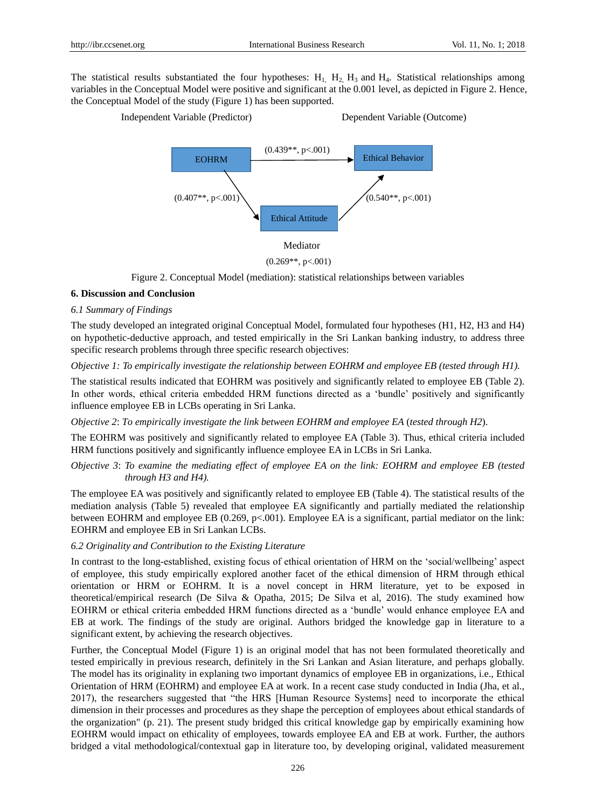The statistical results substantiated the four hypotheses:  $H_1$ ,  $H_2$ ,  $H_3$  and  $H_4$ . Statistical relationships among variables in the Conceptual Model were positive and significant at the 0.001 level, as depicted in Figure 2. Hence, the Conceptual Model of the study (Figure 1) has been supported.

Independent Variable (Predictor) Dependent Variable (Outcome)



Figure 2. Conceptual Model (mediation): statistical relationships between variables

# **6. Discussion and Conclusion**

# *6.1 Summary of Findings*

The study developed an integrated original Conceptual Model, formulated four hypotheses (H1, H2, H3 and H4) on hypothetic-deductive approach, and tested empirically in the Sri Lankan banking industry, to address three specific research problems through three specific research objectives:

*Objective 1: To empirically investigate the relationship between EOHRM and employee EB (tested through H1).*

The statistical results indicated that EOHRM was positively and significantly related to employee EB (Table 2). In other words, ethical criteria embedded HRM functions directed as a 'bundle' positively and significantly influence employee EB in LCBs operating in Sri Lanka.

*Objective 2*: *To empirically investigate the link between EOHRM and employee EA* (*tested through H2*).

The EOHRM was positively and significantly related to employee EA (Table 3). Thus, ethical criteria included HRM functions positively and significantly influence employee EA in LCBs in Sri Lanka.

# *Objective 3*: *To examine the mediating effect of employee EA on the link: EOHRM and employee EB (tested through H3 and H4).*

The employee EA was positively and significantly related to employee EB (Table 4). The statistical results of the mediation analysis (Table 5) revealed that employee EA significantly and partially mediated the relationship between EOHRM and employee EB (0.269, p<.001). Employee EA is a significant, partial mediator on the link: EOHRM and employee EB in Sri Lankan LCBs.

# *6.2 Originality and Contribution to the Existing Literature*

In contrast to the long-established, existing focus of ethical orientation of HRM on the 'social/wellbeing' aspect of employee, this study empirically explored another facet of the ethical dimension of HRM through ethical orientation or HRM or EOHRM. It is a novel concept in HRM literature, yet to be exposed in theoretical/empirical research (De Silva & Opatha, 2015; De Silva et al, 2016). The study examined how EOHRM or ethical criteria embedded HRM functions directed as a 'bundle' would enhance employee EA and EB at work. The findings of the study are original. Authors bridged the knowledge gap in literature to a significant extent, by achieving the research objectives.

Further, the Conceptual Model (Figure 1) is an original model that has not been formulated theoretically and tested empirically in previous research, definitely in the Sri Lankan and Asian literature, and perhaps globally. The model has its originality in explaning two important dynamics of employee EB in organizations, i.e., Ethical Orientation of HRM (EOHRM) and employee EA at work. In a recent case study conducted in India (Jha, et al., 2017), the researchers suggested that "the HRS [Human Resource Systems] need to incorporate the ethical dimension in their processes and procedures as they shape the perception of employees about ethical standards of the organization" (p. 21). The present study bridged this critical knowledge gap by empirically examining how EOHRM would impact on ethicality of employees, towards employee EA and EB at work. Further, the authors bridged a vital methodological/contextual gap in literature too, by developing original, validated measurement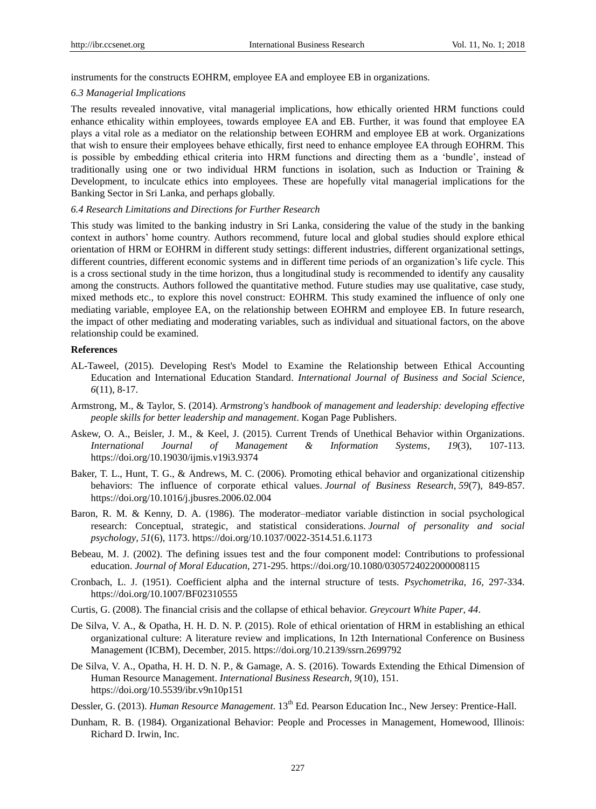instruments for the constructs EOHRM, employee EA and employee EB in organizations.

#### *6.3 Managerial Implications*

The results revealed innovative, vital managerial implications, how ethically oriented HRM functions could enhance ethicality within employees, towards employee EA and EB. Further, it was found that employee EA plays a vital role as a mediator on the relationship between EOHRM and employee EB at work. Organizations that wish to ensure their employees behave ethically, first need to enhance employee EA through EOHRM. This is possible by embedding ethical criteria into HRM functions and directing them as a 'bundle', instead of traditionally using one or two individual HRM functions in isolation, such as Induction or Training & Development, to inculcate ethics into employees. These are hopefully vital managerial implications for the Banking Sector in Sri Lanka, and perhaps globally.

## *6.4 Research Limitations and Directions for Further Research*

This study was limited to the banking industry in Sri Lanka, considering the value of the study in the banking context in authors' home country. Authors recommend, future local and global studies should explore ethical orientation of HRM or EOHRM in different study settings: different industries, different organizational settings, different countries, different economic systems and in different time periods of an organization's life cycle. This is a cross sectional study in the time horizon, thus a longitudinal study is recommended to identify any causality among the constructs. Authors followed the quantitative method. Future studies may use qualitative, case study, mixed methods etc., to explore this novel construct: EOHRM. This study examined the influence of only one mediating variable, employee EA, on the relationship between EOHRM and employee EB. In future research, the impact of other mediating and moderating variables, such as individual and situational factors, on the above relationship could be examined.

#### **References**

- AL-Taweel, (2015). Developing Rest's Model to Examine the Relationship between Ethical Accounting Education and International Education Standard. *International Journal of Business and Social Science*, *6*(11), 8-17.
- Armstrong, M., & Taylor, S. (2014). *Armstrong's handbook of management and leadership: developing effective people skills for better leadership and management*. Kogan Page Publishers.
- Askew, O. A., Beisler, J. M., & Keel, J. (2015). Current Trends of Unethical Behavior within Organizations. *International Journal of Management & Information Systems*, *19*(3), 107-113. https://doi.org/10.19030/ijmis.v19i3.9374
- Baker, T. L., Hunt, T. G., & Andrews, M. C. (2006). Promoting ethical behavior and organizational citizenship behaviors: The influence of corporate ethical values. *Journal of Business Research*, *59*(7), 849-857. https://doi.org/10.1016/j.jbusres.2006.02.004
- Baron, R. M. & Kenny, D. A. (1986). The moderator–mediator variable distinction in social psychological research: Conceptual, strategic, and statistical considerations. *Journal of personality and social psychology*, *51*(6), 1173. https://doi.org/10.1037/0022-3514.51.6.1173
- Bebeau, M. J. (2002). The defining issues test and the four component model: Contributions to professional education. *Journal of Moral Education*, 271-295. https://doi.org/10.1080/0305724022000008115
- Cronbach, L. J. (1951). Coefficient alpha and the internal structure of tests. *Psychometrika, 16,* 297-334. https://doi.org/10.1007/BF02310555
- Curtis, G. (2008). The financial crisis and the collapse of ethical behavior. *Greycourt White Paper*, *44*.
- De Silva, V. A., & Opatha, H. H. D. N. P. (2015). Role of ethical orientation of HRM in establishing an ethical organizational culture: A literature review and implications, In 12th International Conference on Business Management (ICBM), December, 2015. https://doi.org/10.2139/ssrn.2699792
- De Silva, V. A., Opatha, H. H. D. N. P., & Gamage, A. S. (2016). Towards Extending the Ethical Dimension of Human Resource Management. *International Business Research, 9*(10), 151. https://doi.org/10.5539/ibr.v9n10p151
- Dessler, G. (2013). *Human Resource Management*. 13<sup>th</sup> Ed. Pearson Education Inc., New Jersey: Prentice-Hall.
- Dunham, R. B. (1984). Organizational Behavior: People and Processes in Management, Homewood, Illinois: Richard D. Irwin, Inc.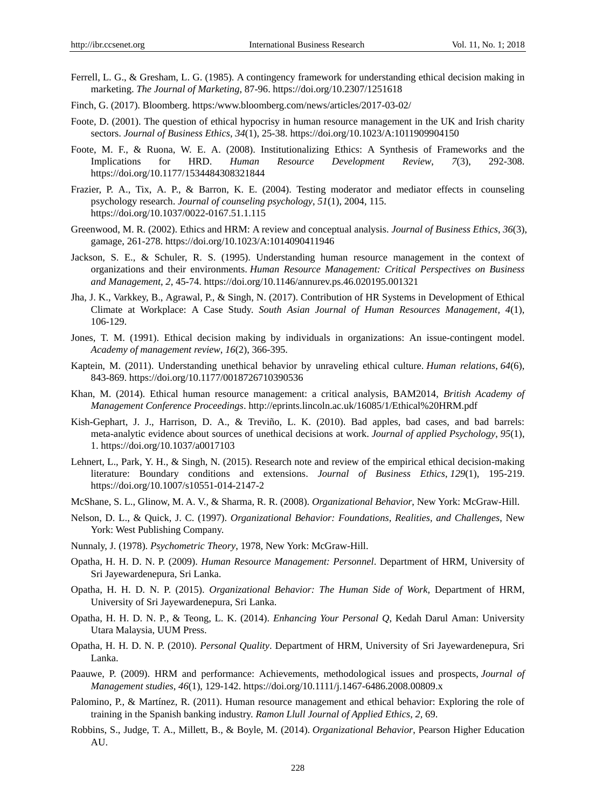- Ferrell, L. G., & Gresham, L. G. (1985). A contingency framework for understanding ethical decision making in marketing. *The Journal of Marketing*, 87-96. https://doi.org/10.2307/1251618
- Finch, G. (2017). Bloomberg. https:/www.bloomberg.com/news/articles/2017-03-02/
- Foote, D. (2001). The question of ethical hypocrisy in human resource management in the UK and Irish charity sectors. *Journal of Business Ethics*, *34*(1), 25-38. https://doi.org/10.1023/A:1011909904150
- Foote, M. F., & Ruona, W. E. A. (2008). Institutionalizing Ethics: A Synthesis of Frameworks and the Implications for HRD. *Human Resource Development Review*, *7*(3), 292-308. https://doi.org/10.1177/1534484308321844
- Frazier, P. A., Tix, A. P., & Barron, K. E. (2004). Testing moderator and mediator effects in counseling psychology research. *Journal of counseling psychology*, *51*(1), 2004, 115. https://doi.org/10.1037/0022-0167.51.1.115
- Greenwood, M. R. (2002). Ethics and HRM: A review and conceptual analysis. *Journal of Business Ethics*, *36*(3), gamage, 261-278. https://doi.org/10.1023/A:1014090411946
- Jackson, S. E., & Schuler, R. S. (1995). Understanding human resource management in the context of organizations and their environments. *Human Resource Management: Critical Perspectives on Business and Management*, *2*, 45-74. https://doi.org/10.1146/annurev.ps.46.020195.001321
- Jha, J. K., Varkkey, B., Agrawal, P., & Singh, N. (2017). Contribution of HR Systems in Development of Ethical Climate at Workplace: A Case Study. *South Asian Journal of Human Resources Management, 4*(1), 106-129.
- Jones, T. M. (1991). Ethical decision making by individuals in organizations: An issue-contingent model. *Academy of management review*, *16*(2), 366-395.
- Kaptein, M. (2011). Understanding unethical behavior by unraveling ethical culture. *Human relations*, *64*(6), 843-869. https://doi.org/10.1177/0018726710390536
- Khan, M. (2014). Ethical human resource management: a critical analysis, BAM2014, *British Academy of Management Conference Proceedings*[. http://eprints.lincoln.ac.uk/16085/1/Ethical%20HRM.pdf](http://eprints.lincoln.ac.uk/16085/1/Ethical%20HRM.pdf)
- Kish-Gephart, J. J., Harrison, D. A., & Treviño, L. K. (2010). Bad apples, bad cases, and bad barrels: meta-analytic evidence about sources of unethical decisions at work. *Journal of applied Psychology*, *95*(1), 1. https://doi.org/10.1037/a0017103
- Lehnert, L., Park, Y. H., & Singh, N. (2015). Research note and review of the empirical ethical decision-making literature: Boundary conditions and extensions. *Journal of Business Ethics*, *129*(1), 195-219. https://doi.org/10.1007/s10551-014-2147-2
- McShane, S. L., Glinow, M. A. V., & Sharma, R. R. (2008). *Organizational Behavior*, New York: McGraw-Hill.
- Nelson, D. L., & Quick, J. C. (1997). *Organizational Behavior: Foundations, Realities, and Challenges*, New York: West Publishing Company.
- Nunnaly, J. (1978). *Psychometric Theory*, 1978, New York: McGraw-Hill.
- Opatha, H. H. D. N. P. (2009). *Human Resource Management: Personnel*. Department of HRM, University of Sri Jayewardenepura, Sri Lanka.
- Opatha, H. H. D. N. P. (2015). *Organizational Behavior: The Human Side of Work,* Department of HRM, University of Sri Jayewardenepura, Sri Lanka.
- Opatha, H. H. D. N. P., & Teong, L. K. (2014). *Enhancing Your Personal Q*, Kedah Darul Aman: University Utara Malaysia, UUM Press.
- Opatha, H. H. D. N. P. (2010). *Personal Quality*. Department of HRM, University of Sri Jayewardenepura, Sri Lanka.
- Paauwe, P. (2009). HRM and performance: Achievements, methodological issues and prospects, *Journal of Management studies*, *46*(1), 129-142. https://doi.org/10.1111/j.1467-6486.2008.00809.x
- Palomino, P., & Mart fiez, R. (2011). Human resource management and ethical behavior: Exploring the role of training in the Spanish banking industry. *Ramon Llull Journal of Applied Ethics*, *2,* 69.
- Robbins, S., Judge, T. A., Millett, B., & Boyle, M. (2014). *Organizational Behavior*, Pearson Higher Education AU.